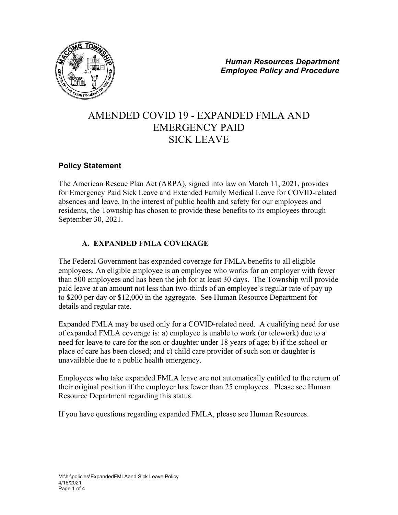

# AMENDED COVID 19 - EXPANDED FMLA AND EMERGENCY PAID SICK LEAVE

## **Policy Statement**

The American Rescue Plan Act (ARPA), signed into law on March 11, 2021, provides for Emergency Paid Sick Leave and Extended Family Medical Leave for COVID-related absences and leave. In the interest of public health and safety for our employees and residents, the Township has chosen to provide these benefits to its employees through September 30, 2021.

## **A. EXPANDED FMLA COVERAGE**

The Federal Government has expanded coverage for FMLA benefits to all eligible employees. An eligible employee is an employee who works for an employer with fewer than 500 employees and has been the job for at least 30 days. The Township will provide paid leave at an amount not less than two-thirds of an employee's regular rate of pay up to \$200 per day or \$12,000 in the aggregate. See Human Resource Department for details and regular rate.

Expanded FMLA may be used only for a COVID-related need. A qualifying need for use of expanded FMLA coverage is: a) employee is unable to work (or telework) due to a need for leave to care for the son or daughter under 18 years of age; b) if the school or place of care has been closed; and c) child care provider of such son or daughter is unavailable due to a public health emergency.

Employees who take expanded FMLA leave are not automatically entitled to the return of their original position if the employer has fewer than 25 employees. Please see Human Resource Department regarding this status.

If you have questions regarding expanded FMLA, please see Human Resources.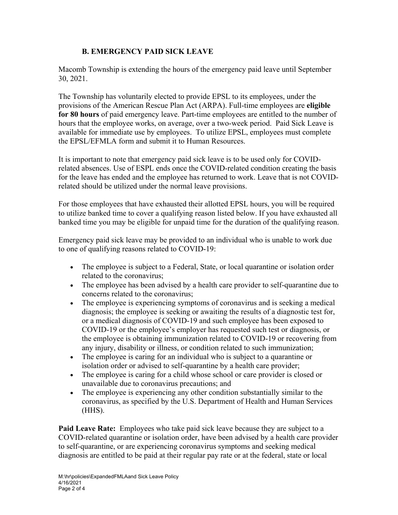### **B. EMERGENCY PAID SICK LEAVE**

Macomb Township is extending the hours of the emergency paid leave until September 30, 2021.

The Township has voluntarily elected to provide EPSL to its employees, under the provisions of the American Rescue Plan Act (ARPA). Full-time employees are **eligible for 80 hours** of paid emergency leave. Part-time employees are entitled to the number of hours that the employee works, on average, over a two-week period. Paid Sick Leave is available for immediate use by employees. To utilize EPSL, employees must complete the EPSL/EFMLA form and submit it to Human Resources.

It is important to note that emergency paid sick leave is to be used only for COVIDrelated absences. Use of ESPL ends once the COVID-related condition creating the basis for the leave has ended and the employee has returned to work. Leave that is not COVIDrelated should be utilized under the normal leave provisions.

For those employees that have exhausted their allotted EPSL hours, you will be required to utilize banked time to cover a qualifying reason listed below. If you have exhausted all banked time you may be eligible for unpaid time for the duration of the qualifying reason.

Emergency paid sick leave may be provided to an individual who is unable to work due to one of qualifying reasons related to COVID-19:

- The employee is subject to a Federal, State, or local quarantine or isolation order related to the coronavirus;
- The employee has been advised by a health care provider to self-quarantine due to concerns related to the coronavirus;
- The employee is experiencing symptoms of coronavirus and is seeking a medical diagnosis; the employee is seeking or awaiting the results of a diagnostic test for, or a medical diagnosis of COVID-19 and such employee has been exposed to COVID-19 or the employee's employer has requested such test or diagnosis, or the employee is obtaining immunization related to COVID-19 or recovering from any injury, disability or illness, or condition related to such immunization;
- The employee is caring for an individual who is subject to a quarantine or isolation order or advised to self-quarantine by a health care provider;
- The employee is caring for a child whose school or care provider is closed or unavailable due to coronavirus precautions; and
- The employee is experiencing any other condition substantially similar to the coronavirus, as specified by the U.S. Department of Health and Human Services (HHS).

**Paid Leave Rate:** Employees who take paid sick leave because they are subject to a COVID-related quarantine or isolation order, have been advised by a health care provider to self-quarantine, or are experiencing coronavirus symptoms and seeking medical diagnosis are entitled to be paid at their regular pay rate or at the federal, state or local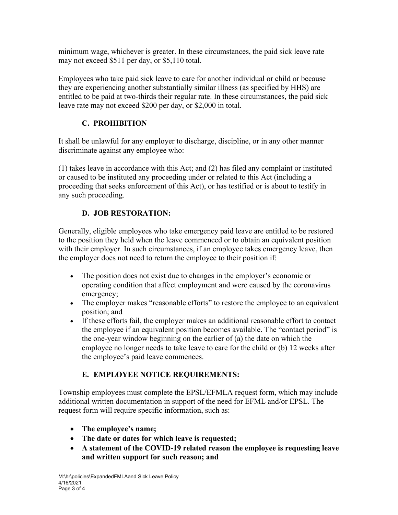minimum wage, whichever is greater. In these circumstances, the paid sick leave rate may not exceed \$511 per day, or \$5,110 total.

Employees who take paid sick leave to care for another individual or child or because they are experiencing another substantially similar illness (as specified by HHS) are entitled to be paid at two-thirds their regular rate. In these circumstances, the paid sick leave rate may not exceed \$200 per day, or \$2,000 in total.

# **C. PROHIBITION**

It shall be unlawful for any employer to discharge, discipline, or in any other manner discriminate against any employee who:

(1) takes leave in accordance with this Act; and (2) has filed any complaint or instituted or caused to be instituted any proceeding under or related to this Act (including a proceeding that seeks enforcement of this Act), or has testified or is about to testify in any such proceeding.

# **D. JOB RESTORATION:**

Generally, eligible employees who take emergency paid leave are entitled to be restored to the position they held when the leave commenced or to obtain an equivalent position with their employer. In such circumstances, if an employee takes emergency leave, then the employer does not need to return the employee to their position if:

- The position does not exist due to changes in the employer's economic or operating condition that affect employment and were caused by the coronavirus emergency;
- The employer makes "reasonable efforts" to restore the employee to an equivalent position; and
- If these efforts fail, the employer makes an additional reasonable effort to contact the employee if an equivalent position becomes available. The "contact period" is the one-year window beginning on the earlier of (a) the date on which the employee no longer needs to take leave to care for the child or (b) 12 weeks after the employee's paid leave commences.

# **E. EMPLOYEE NOTICE REQUIREMENTS:**

Township employees must complete the EPSL/EFMLA request form, which may include additional written documentation in support of the need for EFML and/or EPSL. The request form will require specific information, such as:

- **The employee's name;**
- **The date or dates for which leave is requested;**
- **A statement of the COVID-19 related reason the employee is requesting leave and written support for such reason; and**